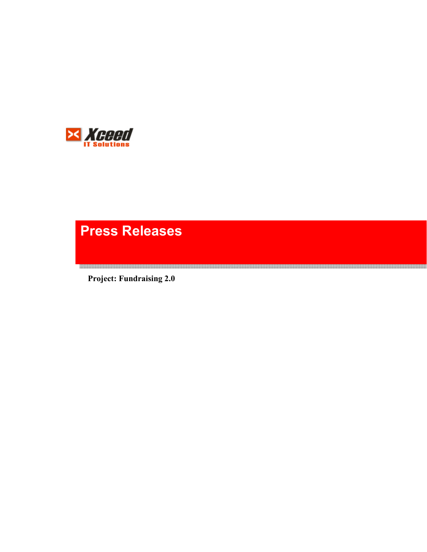

# **Press Releases**

**Project: Fundraising 2.0**

<u>. In the second contract of the second contract of the second contract of the second second contract of the second contract of the second second second second second second second second second second second second second</u>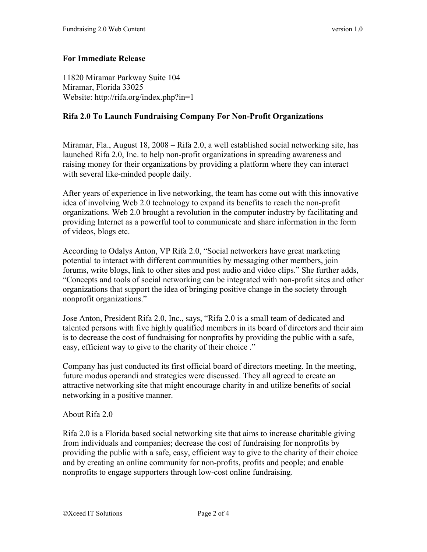## **For Immediate Release**

11820 Miramar Parkway Suite 104 Miramar, Florida 33025 Website: http://rifa.org/index.php?in=1

## **Rifa 2.0 To Launch Fundraising Company For Non-Profit Organizations**

Miramar, Fla., August 18, 2008 – Rifa 2.0, a well established social networking site, has launched Rifa 2.0, Inc. to help non-profit organizations in spreading awareness and raising money for their organizations by providing a platform where they can interact with several like-minded people daily.

After years of experience in live networking, the team has come out with this innovative idea of involving Web 2.0 technology to expand its benefits to reach the non-profit organizations. Web 2.0 brought a revolution in the computer industry by facilitating and providing Internet as a powerful tool to communicate and share information in the form of videos, blogs etc.

According to Odalys Anton, VP Rifa 2.0, "Social networkers have great marketing potential to interact with different communities by messaging other members, join forums, write blogs, link to other sites and post audio and video clips." She further adds, "Concepts and tools of social networking can be integrated with non-profit sites and other organizations that support the idea of bringing positive change in the society through nonprofit organizations."

Jose Anton, President Rifa 2.0, Inc., says, "Rifa 2.0 is a small team of dedicated and talented persons with five highly qualified members in its board of directors and their aim is to decrease the cost of fundraising for nonprofits by providing the public with a safe, easy, efficient way to give to the charity of their choice ."

Company has just conducted its first official board of directors meeting. In the meeting, future modus operandi and strategies were discussed. They all agreed to create an attractive networking site that might encourage charity in and utilize benefits of social networking in a positive manner.

About Rifa 2.0

Rifa 2.0 is a Florida based social networking site that aims to increase charitable giving from individuals and companies; decrease the cost of fundraising for nonprofits by providing the public with a safe, easy, efficient way to give to the charity of their choice and by creating an online community for non-profits, profits and people; and enable nonprofits to engage supporters through low-cost online fundraising.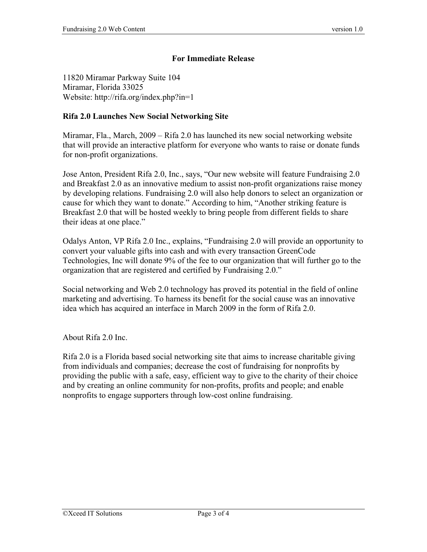## **For Immediate Release**

11820 Miramar Parkway Suite 104 Miramar, Florida 33025 Website: http://rifa.org/index.php?in=1

## **Rifa 2.0 Launches New Social Networking Site**

Miramar, Fla., March, 2009 – Rifa 2.0 has launched its new social networking website that will provide an interactive platform for everyone who wants to raise or donate funds for non-profit organizations.

Jose Anton, President Rifa 2.0, Inc., says, "Our new website will feature Fundraising 2.0 and Breakfast 2.0 as an innovative medium to assist non-profit organizations raise money by developing relations. Fundraising 2.0 will also help donors to select an organization or cause for which they want to donate." According to him, "Another striking feature is Breakfast 2.0 that will be hosted weekly to bring people from different fields to share their ideas at one place."

Odalys Anton, VP Rifa 2.0 Inc., explains, "Fundraising 2.0 will provide an opportunity to convert your valuable gifts into cash and with every transaction GreenCode Technologies, Inc will donate 9% of the fee to our organization that will further go to the organization that are registered and certified by Fundraising 2.0."

Social networking and Web 2.0 technology has proved its potential in the field of online marketing and advertising. To harness its benefit for the social cause was an innovative idea which has acquired an interface in March 2009 in the form of Rifa 2.0.

About Rifa 2.0 Inc.

Rifa 2.0 is a Florida based social networking site that aims to increase charitable giving from individuals and companies; decrease the cost of fundraising for nonprofits by providing the public with a safe, easy, efficient way to give to the charity of their choice and by creating an online community for non-profits, profits and people; and enable nonprofits to engage supporters through low-cost online fundraising.